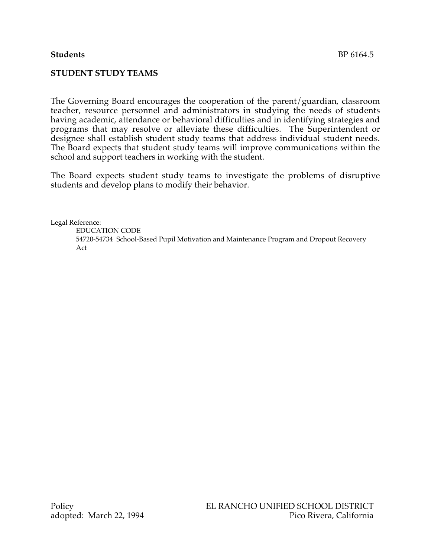## **STUDENT STUDY TEAMS**

The Governing Board encourages the cooperation of the parent/guardian, classroom teacher, resource personnel and administrators in studying the needs of students having academic, attendance or behavioral difficulties and in identifying strategies and programs that may resolve or alleviate these difficulties. The Superintendent or designee shall establish student study teams that address individual student needs. The Board expects that student study teams will improve communications within the school and support teachers in working with the student.

The Board expects student study teams to investigate the problems of disruptive students and develop plans to modify their behavior.

Legal Reference:

EDUCATION CODE 54720-54734 School-Based Pupil Motivation and Maintenance Program and Dropout Recovery Act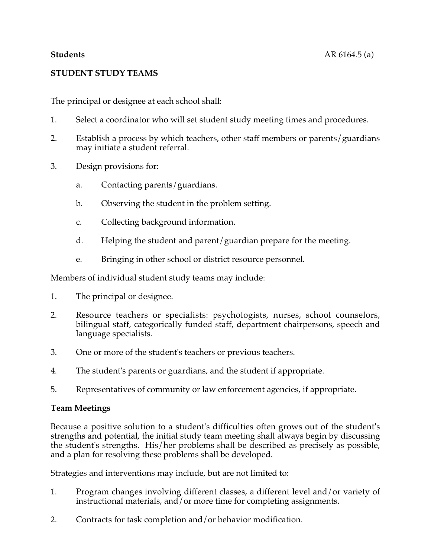# **STUDENT STUDY TEAMS**

The principal or designee at each school shall:

- 1. Select a coordinator who will set student study meeting times and procedures.
- 2. Establish a process by which teachers, other staff members or parents/guardians may initiate a student referral.
- 3. Design provisions for:
	- a. Contacting parents/guardians.
	- b. Observing the student in the problem setting.
	- c. Collecting background information.
	- d. Helping the student and parent/guardian prepare for the meeting.
	- e. Bringing in other school or district resource personnel.

Members of individual student study teams may include:

- 1. The principal or designee.
- 2. Resource teachers or specialists: psychologists, nurses, school counselors, bilingual staff, categorically funded staff, department chairpersons, speech and language specialists.
- 3. One or more of the student's teachers or previous teachers.
- 4. The student's parents or guardians, and the student if appropriate.
- 5. Representatives of community or law enforcement agencies, if appropriate.

## **Team Meetings**

Because a positive solution to a student's difficulties often grows out of the student's strengths and potential, the initial study team meeting shall always begin by discussing the student's strengths. His/her problems shall be described as precisely as possible, and a plan for resolving these problems shall be developed.

Strategies and interventions may include, but are not limited to:

- 1. Program changes involving different classes, a different level and/or variety of instructional materials, and/or more time for completing assignments.
- 2. Contracts for task completion and/or behavior modification.